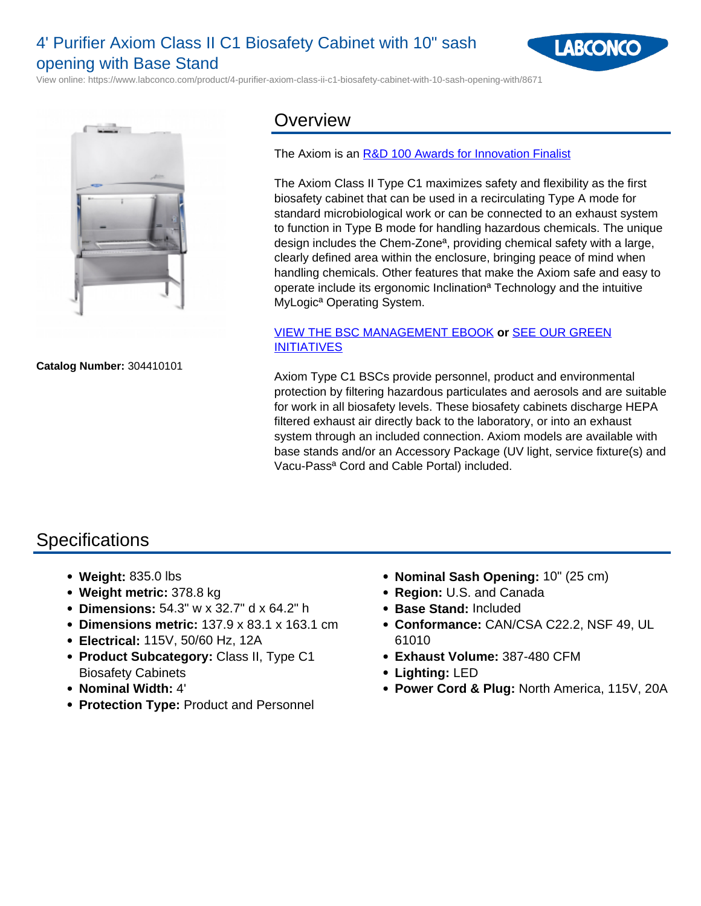# 4' Purifier Axiom Class II C1 Biosafety Cabinet with 10" sash opening with Base Stand



View online: https://www.labconco.com/product/4-purifier-axiom-class-ii-c1-biosafety-cabinet-with-10-sash-opening-with/8671



**Catalog Number:** 304410101

### **Overview**

#### The Axiom is an [R&D 100 Awards for Innovation Finalist](/news/press-release-axiom-biosafety-cabinet-honored-as)

The Axiom Class II Type C1 maximizes safety and flexibility as the first biosafety cabinet that can be used in a recirculating Type A mode for standard microbiological work or can be connected to an exhaust system to function in Type B mode for handling hazardous chemicals. The unique design includes the Chem-Zoneª, providing chemical safety with a large, clearly defined area within the enclosure, bringing peace of mind when handling chemicals. Other features that make the Axiom safe and easy to operate include its ergonomic Inclinationª Technology and the intuitive MyLogicª Operating System.

### [VIEW THE BSC MANAGEMENT EBOOK](https://my.labconco.com/bsc-interest-ebook) **or** [SEE OUR GREEN](/company/green-initiatives#bsc) [INITIATIVES](/company/green-initiatives#bsc)

Axiom Type C1 BSCs provide personnel, product and environmental protection by filtering hazardous particulates and aerosols and are suitable for work in all biosafety levels. These biosafety cabinets discharge HEPA filtered exhaust air directly back to the laboratory, or into an exhaust system through an included connection. Axiom models are available with base stands and/or an Accessory Package (UV light, service fixture(s) and Vacu-Passª Cord and Cable Portal) included.

## **Specifications**

- **Weight:** 835.0 lbs
- **Weight metric:** 378.8 kg
- **Dimensions:** 54.3" w x 32.7" d x 64.2" h
- **Dimensions metric:** 137.9 x 83.1 x 163.1 cm
- **Electrical:** 115V, 50/60 Hz, 12A
- **Product Subcategory:** Class II, Type C1 Biosafety Cabinets
- **Nominal Width:** 4'
- **Protection Type:** Product and Personnel
- **Nominal Sash Opening:** 10" (25 cm)
- **Region:** U.S. and Canada
- **Base Stand:** Included
- **Conformance:** CAN/CSA C22.2, NSF 49, UL 61010
- **Exhaust Volume:** 387-480 CFM
- **Lighting:** LED
- **Power Cord & Plug:** North America, 115V, 20A